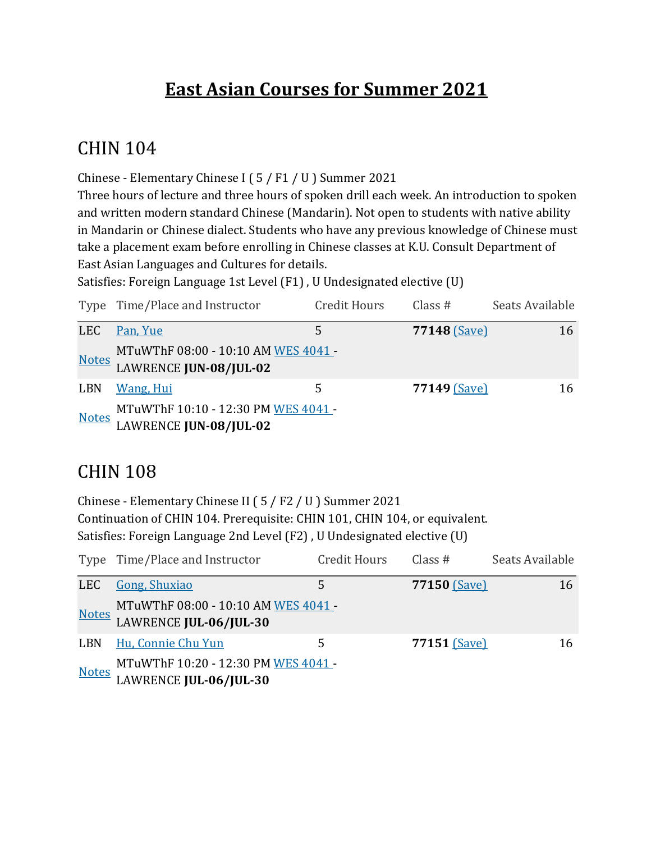## **East Asian Courses for Summer 2021**

#### **CHIN 104**

Chinese - Elementary Chinese I (5 / F1 / U ) Summer 2021

Three hours of lecture and three hours of spoken drill each week. An introduction to spoken and written modern standard Chinese (Mandarin). Not open to students with native ability in Mandarin or Chinese dialect. Students who have any previous knowledge of Chinese must take a placement exam before enrolling in Chinese classes at K.U. Consult Department of East Asian Languages and Cultures for details.

Satisfies: Foreign Language 1st Level (F1), U Undesignated elective (U)

|              | Type Time/Place and Instructor                                       | <b>Credit Hours</b> | Class $#$    | Seats Available |
|--------------|----------------------------------------------------------------------|---------------------|--------------|-----------------|
| LEC          | Pan, Yue                                                             | 5                   | 77148 (Save) | 16              |
| <b>Notes</b> | MTuWThF 08:00 - 10:10 AM WES 4041 -<br>LAWRENCE JUN-08/JUL-02        |                     |              |                 |
| <b>LBN</b>   | <b>Wang</b> , Hui                                                    | 5                   | 77149 (Save) | 16              |
| <b>Notes</b> | MTuWThF 10:10 - 12:30 PM WES 4041 -<br><b>LAWRENCE JUN-08/JUL-02</b> |                     |              |                 |

#### **CHIN 108**

Chinese - Elementary Chinese II (5 / F2 / U ) Summer 2021 Continuation of CHIN 104. Prerequisite: CHIN 101, CHIN 104, or equivalent. Satisfies: Foreign Language 2nd Level (F2), U Undesignated elective (U)

|              | Type Time/Place and Instructor                                             | <b>Credit Hours</b> | Class#       | Seats Available |
|--------------|----------------------------------------------------------------------------|---------------------|--------------|-----------------|
| <b>LEC</b>   | <b>Gong, Shuxiao</b>                                                       | 5                   | 77150 (Save) | 16              |
|              | Notes MTuWThF 08:00 - 10:10 AM WES 4041 -<br>LAWRENCE <b>JUL-06/JUL-30</b> |                     |              |                 |
| <b>LBN</b>   | Hu, Connie Chu Yun                                                         | 5                   | 77151 (Save) | 16              |
| <b>Notes</b> | MTuWThF 10:20 - 12:30 PM WES 4041-<br>LAWRENCE JUL-06/JUL-30               |                     |              |                 |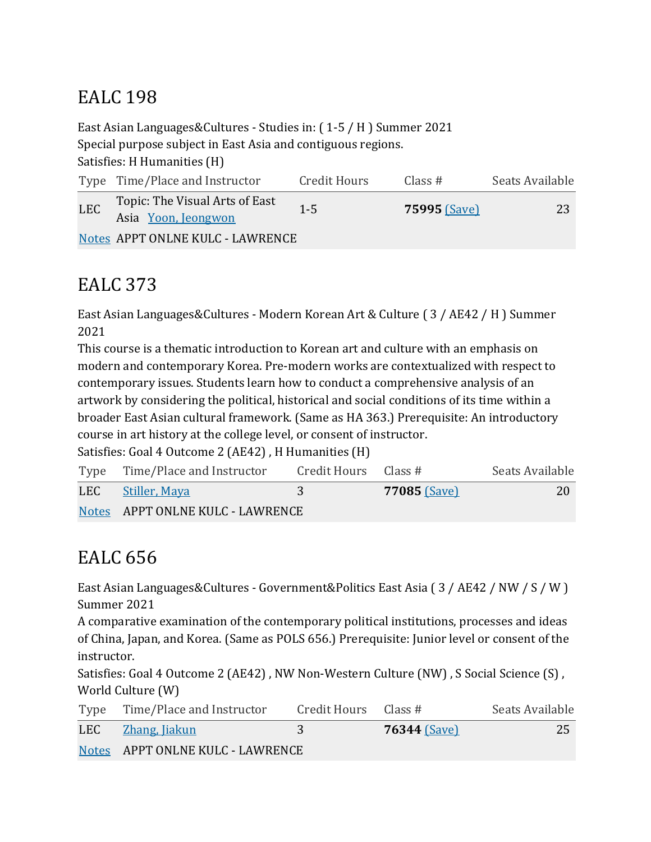## **EALC** 198

East Asian Languages&Cultures - Studies in:  $(1-5 / H)$  Summer 2021 Special purpose subject in East Asia and contiguous regions. Satisfies: H Humanities (H)

|     | Type Time/Place and Instructor                        | Credit Hours | Class $#$           | Seats Available |
|-----|-------------------------------------------------------|--------------|---------------------|-----------------|
| LEC | Topic: The Visual Arts of East<br>Asia Yoon, Jeongwon | $1 - 5$      | <b>75995 (Save)</b> | 23              |
|     | Notes APPT ONLNE KULC - LAWRENCE                      |              |                     |                 |

# EALC 373

East Asian Languages&Cultures - Modern Korean Art & Culture (3 / AE42 / H ) Summer 2021

This course is a thematic introduction to Korean art and culture with an emphasis on modern and contemporary Korea. Pre-modern works are contextualized with respect to contemporary issues. Students learn how to conduct a comprehensive analysis of an artwork by considering the political, historical and social conditions of its time within a broader East Asian cultural framework. (Same as HA 363.) Prerequisite: An introductory course in art history at the college level, or consent of instructor.

Satisfies: Goal 4 Outcome 2 (AE42), H Humanities (H)

| Type Time/Place and Instructor   | Credit Hours Class # |              | Seats Available |
|----------------------------------|----------------------|--------------|-----------------|
| LEC Stiller, Maya                | 3                    | 77085 (Save) | 20              |
| Notes APPT ONLNE KULC - LAWRENCE |                      |              |                 |

# EALC 656

East Asian Languages&Cultures - Government&Politics East Asia (3 / AE42 / NW / S / W ) Summer 2021

A comparative examination of the contemporary political institutions, processes and ideas of China, Japan, and Korea. (Same as POLS 656.) Prerequisite: Junior level or consent of the instructor.

Satisfies: Goal 4 Outcome 2 (AE42), NW Non-Western Culture (NW), S Social Science (S), World Culture (W)

|     | Type Time/Place and Instructor   | Credit Hours Class # |                     | Seats Available |
|-----|----------------------------------|----------------------|---------------------|-----------------|
| LEC | <u>Zhang, Jiakun</u>             |                      | <b>76344 (Save)</b> | 25              |
|     | Notes APPT ONLNE KULC - LAWRENCE |                      |                     |                 |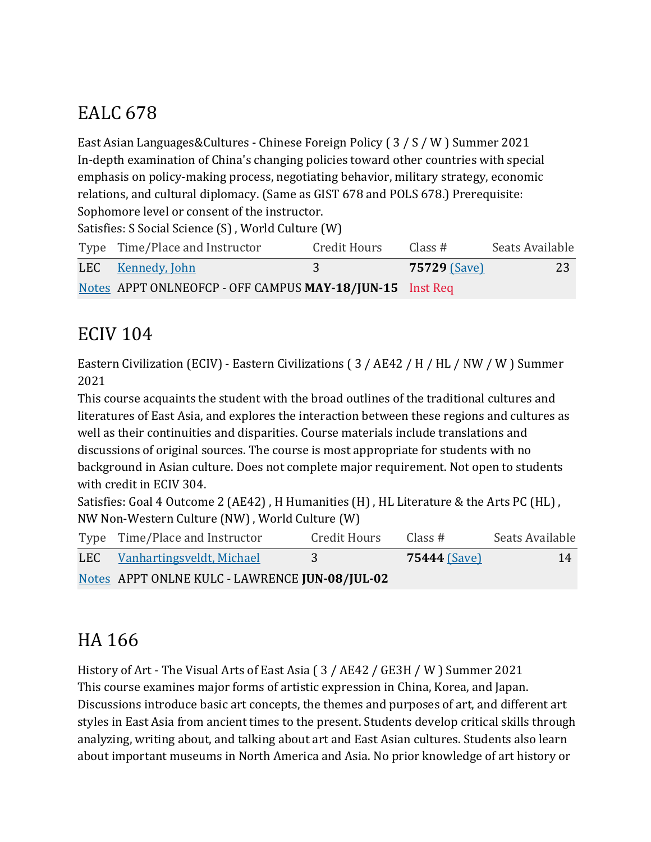# EALC 678

East Asian Languages&Cultures - Chinese Foreign Policy  $(3 / S / W)$  Summer 2021 In-depth examination of China's changing policies toward other countries with special emphasis on policy-making process, negotiating behavior, military strategy, economic relations, and cultural diplomacy. (Same as GIST 678 and POLS 678.) Prerequisite: Sophomore level or consent of the instructor.

Satisfies: S Social Science (S), World Culture (W)

| Type Time/Place and Instructor                           | Credit Hours | Class#              | Seats Available |
|----------------------------------------------------------|--------------|---------------------|-----------------|
| LEC Kennedy, John                                        | 3            | <b>75729 (Save)</b> | 23              |
| Notes APPT ONLNEOFCP - OFF CAMPUS MAY-18/JUN-15 Inst Req |              |                     |                 |

### **ECIV 104**

Eastern Civilization (ECIV) - Eastern Civilizations (3 / AE42 / H / HL / NW / W ) Summer 2021

This course acquaints the student with the broad outlines of the traditional cultures and literatures of East Asia, and explores the interaction between these regions and cultures as well as their continuities and disparities. Course materials include translations and discussions of original sources. The course is most appropriate for students with no background in Asian culture. Does not complete major requirement. Not open to students with credit in ECIV 304.

Satisfies: Goal 4 Outcome 2 (AE42), H Humanities (H), HL Literature & the Arts PC (HL), NW Non-Western Culture (NW), World Culture (W)

| Type Time/Place and Instructor                 | Credit Hours | Class #      | Seats Available |
|------------------------------------------------|--------------|--------------|-----------------|
| LEC Vanhartingsveldt, Michael                  | 3            | 75444 (Save) | 14              |
| Notes APPT ONLNE KULC - LAWRENCE JUN-08/JUL-02 |              |              |                 |

# HA 166

History of Art - The Visual Arts of East Asia (3 / AE42 / GE3H / W ) Summer 2021 This course examines major forms of artistic expression in China, Korea, and Japan. Discussions introduce basic art concepts, the themes and purposes of art, and different art styles in East Asia from ancient times to the present. Students develop critical skills through analyzing, writing about, and talking about art and East Asian cultures. Students also learn about important museums in North America and Asia. No prior knowledge of art history or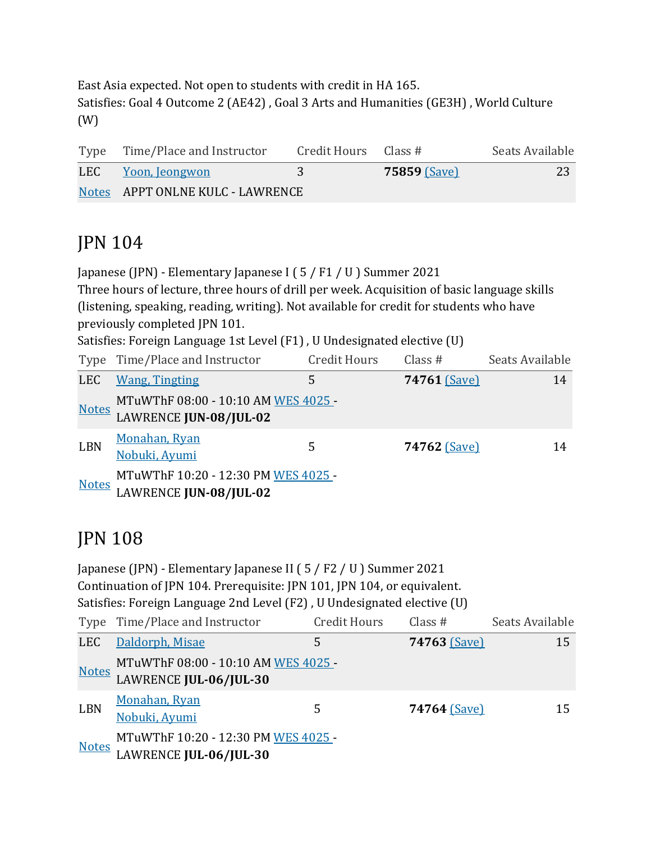East Asia expected. Not open to students with credit in HA 165. Satisfies: Goal 4 Outcome 2 (AE42) , Goal 3 Arts and Humanities (GE3H) , World Culture (W)

| Type Time/Place and Instructor   | Credit Hours $\;$ Class # |                     | Seats Available |
|----------------------------------|---------------------------|---------------------|-----------------|
| LEC Yoon, Jeongwon               | 3                         | <b>75859 (Save)</b> | 23              |
| Notes APPT ONLNE KULC - LAWRENCE |                           |                     |                 |

### JPN 104

Japanese (JPN) - Elementary Japanese I (5 / F1 / U ) Summer 2021

Three hours of lecture, three hours of drill per week. Acquisition of basic language skills (listening, speaking, reading, writing). Not available for credit for students who have previously completed JPN 101.

Satisfies: Foreign Language 1st Level (F1), U Undesignated elective (U)

|              | Type Time/Place and Instructor                                | <b>Credit Hours</b> | Class $#$    | Seats Available |
|--------------|---------------------------------------------------------------|---------------------|--------------|-----------------|
| <b>LEC</b>   | <b>Wang, Tingting</b>                                         | 5                   | 74761 (Save) | 14              |
| <b>Notes</b> | MTuWThF 08:00 - 10:10 AM WES 4025 -<br>LAWRENCE JUN-08/JUL-02 |                     |              |                 |
| <b>LBN</b>   | Monahan, Ryan<br>Nobuki, Ayumi                                | 5                   | 74762 (Save) | 14              |
| <b>Notes</b> | MTuWThF 10:20 - 12:30 PM WES 4025<br>LAWRENCE JUN-08/JUL-02   |                     |              |                 |

## JPN 108

|              | Japanese (JPN) - Elementary Japanese II (5 / F2 / U) Summer 2021<br>Continuation of JPN 104. Prerequisite: JPN 101, JPN 104, or equivalent.<br>Satisfies: Foreign Language 2nd Level (F2), U Undesignated elective (U) |                     |              |                 |
|--------------|------------------------------------------------------------------------------------------------------------------------------------------------------------------------------------------------------------------------|---------------------|--------------|-----------------|
|              | Type Time/Place and Instructor                                                                                                                                                                                         | <b>Credit Hours</b> | Class $#$    | Seats Available |
| <b>LEC</b>   | Daldorph, Misae                                                                                                                                                                                                        | 5                   | 74763 (Save) | 15              |
| <b>Notes</b> | MTuWThF 08:00 - 10:10 AM WES 4025 -<br>LAWRENCE JUL-06/JUL-30                                                                                                                                                          |                     |              |                 |
| <b>LBN</b>   | Monahan, Ryan<br>Nobuki, Ayumi                                                                                                                                                                                         | 5                   | 74764 (Save) | 15              |
| <b>Notes</b> | MTuWThF 10:20 - 12:30 PM WES 4025 -<br>LAWRENCE JUL-06/JUL-30                                                                                                                                                          |                     |              |                 |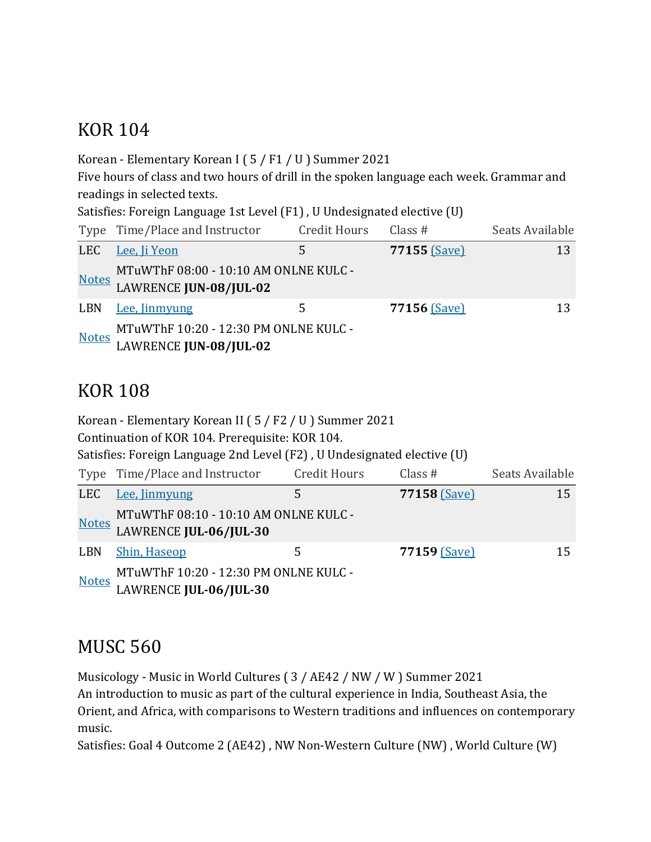#### **KOR 104**

Korean - Elementary Korean I ( $5$  / F1 / U ) Summer 2021

Five hours of class and two hours of drill in the spoken language each week. Grammar and readings in selected texts.

Satisfies: Foreign Language 1st Level (F1), U Undesignated elective (U)

|              | Type Time/Place and Instructor                                  | <b>Credit Hours</b> | Class $#$    | Seats Available |
|--------------|-----------------------------------------------------------------|---------------------|--------------|-----------------|
| LEC          | Lee, Ji Yeon                                                    | 5                   | 77155 (Save) | 13              |
| <u>Notes</u> | MTuWThF 08:00 - 10:10 AM ONLNE KULC -<br>LAWRENCE JUN-08/JUL-02 |                     |              |                 |
| LBN          | Lee, Jinmyung                                                   | 5.                  | 77156 (Save) | 13              |
| <u>Notes</u> | MTuWThF 10:20 - 12:30 PM ONLNE KULC -<br>LAWRENCE JUN-08/JUL-02 |                     |              |                 |

## **KOR 108**

|              | Korean - Elementary Korean II (5 / F2 / U) Summer 2021<br>Continuation of KOR 104. Prerequisite: KOR 104. |                     |              |                 |  |
|--------------|-----------------------------------------------------------------------------------------------------------|---------------------|--------------|-----------------|--|
|              | Satisfies: Foreign Language 2nd Level (F2), U Undesignated elective (U)                                   |                     |              |                 |  |
|              | Type Time/Place and Instructor                                                                            | <b>Credit Hours</b> | Class $#$    | Seats Available |  |
| <b>LEC</b>   | Lee, Jinmyung                                                                                             | 5                   | 77158 (Save) | 15              |  |
| <u>Notes</u> | MTuWThF 08:10 - 10:10 AM ONLNE KULC -<br>LAWRENCE JUL-06/JUL-30                                           |                     |              |                 |  |
| LBN          | <b>Shin, Haseop</b>                                                                                       | 5                   | 77159 (Save) | 15              |  |
| <b>Notes</b> | MTuWThF 10:20 - 12:30 PM ONLNE KULC -<br>LAWRENCE JUL-06/JUL-30                                           |                     |              |                 |  |

#### **MUSC 560**

Musicology - Music in World Cultures (3 / AE42 / NW / W ) Summer 2021

An introduction to music as part of the cultural experience in India, Southeast Asia, the Orient, and Africa, with comparisons to Western traditions and influences on contemporary music.

Satisfies: Goal 4 Outcome 2 (AE42) , NW Non-Western Culture (NW) , World Culture (W)